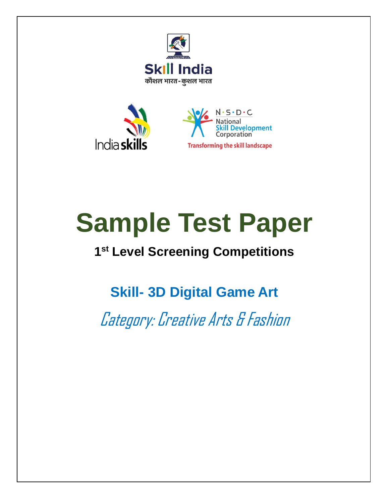



# **Sample Test Paper**

## **1 st Level Screening Competitions**

**Skill- 3D Digital Game Art**

Category: Creative Arts & Fashion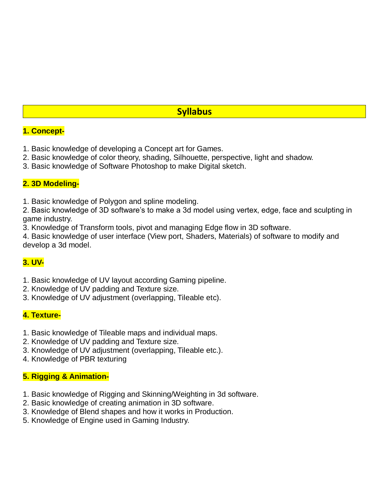#### **Syllabus**

#### **1. Concept-**

- 1. Basic knowledge of developing a Concept art for Games.
- 2. Basic knowledge of color theory, shading, Silhouette, perspective, light and shadow.
- 3. Basic knowledge of Software Photoshop to make Digital sketch.

#### **2. 3D Modeling-**

1. Basic knowledge of Polygon and spline modeling.

2. Basic knowledge of 3D software's to make a 3d model using vertex, edge, face and sculpting in game industry.

3. Knowledge of Transform tools, pivot and managing Edge flow in 3D software.

4. Basic knowledge of user interface (View port, Shaders, Materials) of software to modify and develop a 3d model.

#### **3. UV-**

- 1. Basic knowledge of UV layout according Gaming pipeline.
- 2. Knowledge of UV padding and Texture size.
- 3. Knowledge of UV adjustment (overlapping, Tileable etc).

#### **4. Texture-**

- 1. Basic knowledge of Tileable maps and individual maps.
- 2. Knowledge of UV padding and Texture size.
- 3. Knowledge of UV adjustment (overlapping, Tileable etc.).
- 4. Knowledge of PBR texturing

#### **5. Rigging & Animation-**

- 1. Basic knowledge of Rigging and Skinning/Weighting in 3d software.
- 2. Basic knowledge of creating animation in 3D software.
- 3. Knowledge of Blend shapes and how it works in Production.
- 5. Knowledge of Engine used in Gaming Industry.